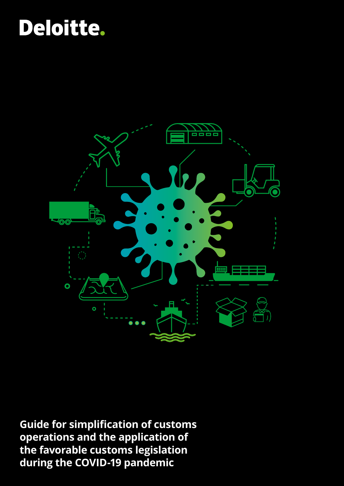# Deloitte.



**Guide for simplification of customs operations and the application of the favorable customs legislation during the COVID-19 pandemic**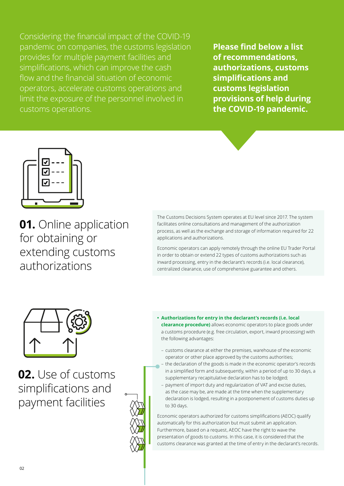Considering the financial impact of the COVID-19 pandemic on companies, the customs legislation provides for multiple payment facilities and simplifications, which can improve the cash flow and the financial situation of economic operators, accelerate customs operations and limit the exposure of the personnel involved in customs operations.

**Please find below a list of recommendations, authorizations, customs simplifications and customs legislation provisions of help during the COVID-19 pandemic.**



**01.** Online application for obtaining or extending customs authorizations

The Customs Decisions System operates at EU level since 2017. The system facilitates online consultations and management of the authorization process, as well as the exchange and storage of information required for 22 applications and authorizations.

Economic operators can apply remotely through the online EU Trader Portal in order to obtain or extend 22 types of customs authorizations such as inward processing, entry in the declarant's records (i.e. local clearance), centralized clearance, use of comprehensive guarantee and others.



**02.** Use of customs simplifications and payment facilities



- customs clearance at either the premises, warehouse of the economic operator or other place approved by the customs authorities;
- the declaration of the goods is made in the economic operator's records in a simplified form and subsequently, within a period of up to 30 days, a supplementary recapitulative declaration has to be lodged;
- payment of import duty and regularization of VAT and excise duties, as the case may be, are made at the time when the supplementary declaration is lodged, resulting in a postponement of customs duties up to 30 days.

Economic operators authorized for customs simplifications (AEOC) qualify automatically for this authorization but must submit an application. Furthermore, based on a request, AEOC have the right to wave the presentation of goods to customs. In this case, it is considered that the customs clearance was granted at the time of entry in the declarant's records.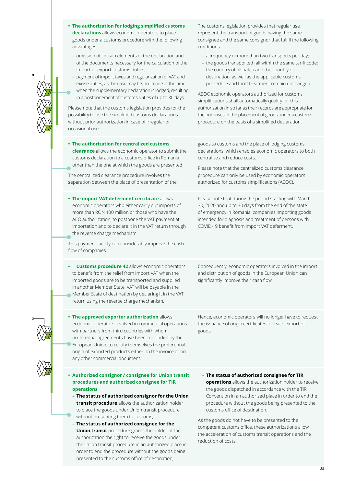|  | • The authorization for lodging simplified customs<br>declarations allows economic operators to place<br>goods under a customs procedure with the following<br>advantages:<br>- omission of certain elements of the declaration and<br>of the documents necessary for the calculation of the<br>import or export customs duties;<br>- payment of import taxes and regularization of VAT and<br>excise duties, as the case may be, are made at the time<br>when the supplementary declaration is lodged, resulting<br>in a postponement of customs duties of up to 30 days.<br>Please note that the customs legislation provides for the<br>possibility to use the simplified customs declarations<br>without prior authorization in case of irregular or<br>occasional use. | The customs legislation provides that regular use<br>represent the transport of goods having the same<br>consignee and the same consignor that fulfill the following<br>conditions:<br>- a frequency of more than two transports per day;<br>- the goods transported fall within the same tariff code;<br>- the country of dispatch and the country of<br>destination, as well as the applicable customs<br>procedure and tariff treatment remain unchanged.<br>AEOC economic operators authorized for customs<br>simplifications shall automatically qualify for this<br>authorization in so far as their records are appropriate for<br>the purposes of the placement of goods under a customs<br>procedure on the basis of a simplified declaration. |
|--|-----------------------------------------------------------------------------------------------------------------------------------------------------------------------------------------------------------------------------------------------------------------------------------------------------------------------------------------------------------------------------------------------------------------------------------------------------------------------------------------------------------------------------------------------------------------------------------------------------------------------------------------------------------------------------------------------------------------------------------------------------------------------------|---------------------------------------------------------------------------------------------------------------------------------------------------------------------------------------------------------------------------------------------------------------------------------------------------------------------------------------------------------------------------------------------------------------------------------------------------------------------------------------------------------------------------------------------------------------------------------------------------------------------------------------------------------------------------------------------------------------------------------------------------------|
|  | • The authorization for centralized customs<br>clearance allows the economic operator to submit the<br>customs declaration to a customs office in Romania<br>other than the one at which the goods are presented.<br>The centralized clearance procedure involves the<br>separation between the place of presentation of the                                                                                                                                                                                                                                                                                                                                                                                                                                                | goods to customs and the place of lodging customs<br>declarations, which enables economic operators to both<br>centralize and reduce costs.<br>Please note that the centralized customs clearance<br>procedure can only be used by economic operators<br>authorized for customs simplifications (AEOC).                                                                                                                                                                                                                                                                                                                                                                                                                                                 |
|  | . The import VAT deferment certificate allows<br>economic operators who either carry out imports of<br>more than RON 100 million or those who have the<br>AEO authorization, to postpone the VAT payment at<br>importation and to declare it in the VAT return through<br>the reverse charge mechanism.<br>This payment facility can considerably improve the cash<br>flow of companies.                                                                                                                                                                                                                                                                                                                                                                                    | Please note that during the period starting with March<br>30, 2020 and up to 30 days from the end of the state<br>of emergency in Romania, companies importing goods<br>intended for diagnosis and treatment of persons with<br>COVID-19 benefit from import VAT deferment.                                                                                                                                                                                                                                                                                                                                                                                                                                                                             |
|  | <b>Customs procedure 42 allows economic operators</b><br>to benefit from the relief from import VAT when the<br>imported goods are to be transported and supplied<br>in another Member State. VAT will be payable in the<br>Member State of destination by declaring it in the VAT<br>return using the reverse charge mechanism.                                                                                                                                                                                                                                                                                                                                                                                                                                            | Consequently, economic operators involved in the import<br>and distribution of goods in the European Union can<br>significantly improve their cash flow.                                                                                                                                                                                                                                                                                                                                                                                                                                                                                                                                                                                                |
|  | . The approved exporter authorization allows<br>economic operators involved in commercial operations<br>with partners from third countries with whom<br>preferential agreements have been concluded by the<br>European Union, to certify themselves the preferential<br>origin of exported products either on the invoice or on<br>any other commercial document.                                                                                                                                                                                                                                                                                                                                                                                                           | Hence, economic operators will no longer have to request<br>the issuance of origin certificates for each export of<br>goods.                                                                                                                                                                                                                                                                                                                                                                                                                                                                                                                                                                                                                            |
|  | • Authorized consignor / consignee for Union transit                                                                                                                                                                                                                                                                                                                                                                                                                                                                                                                                                                                                                                                                                                                        | - The status of authorized consignee for TIR                                                                                                                                                                                                                                                                                                                                                                                                                                                                                                                                                                                                                                                                                                            |
|  | procedures and authorized consignee for TIR<br>operations<br>- The status of authorized consignor for the Union<br>transit procedure allows the authorization holder<br>to place the goods under Union transit procedure                                                                                                                                                                                                                                                                                                                                                                                                                                                                                                                                                    | operations allows the authorization holder to receive<br>the goods dispatched in accordance with the TIR<br>Convention in an authorized place in order to end the<br>procedure without the goods being presented to the<br>customs office of destination.                                                                                                                                                                                                                                                                                                                                                                                                                                                                                               |
|  | without presenting them to customs;<br>- The status of authorized consignee for the<br><b>Union transit</b> procedure grants the holder of the<br>authorization the right to receive the goods under<br>the Union transit procedure in an authorized place in                                                                                                                                                                                                                                                                                                                                                                                                                                                                                                               | As the goods do not have to be presented to the<br>competent customs office, these authorizations allow<br>the acceleration of customs transit operations and the<br>reduction of costs.                                                                                                                                                                                                                                                                                                                                                                                                                                                                                                                                                                |

order to end the procedure without the goods being presented to the customs office of destination;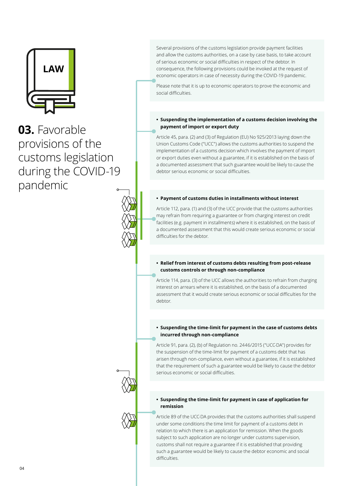

**03.** Favorable provisions of the customs legislation during the COVID-19 pandemic



Several provisions of the customs legislation provide payment facilities and allow the customs authorities, on a case by case basis, to take account of serious economic or social difficulties in respect of the debtor. In consequence, the following provisions could be invoked at the request of economic operators in case of necessity during the COVID-19 pandemic.

Please note that it is up to economic operators to prove the economic and social difficulties.

#### **• Suspending the implementation of a customs decision involving the payment of import or export duty**

Article 45, para. (2) and (3) of Regulation (EU) No 925/2013 laying down the Union Customs Code ("UCC") allows the customs authorities to suspend the implementation of a customs decision which involves the payment of import or export duties even without a guarantee, if it is established on the basis of a documented assessment that such guarantee would be likely to cause the debtor serious economic or social difficulties.

#### **• Payment of customs duties in installments without interest**

Article 112, para. (1) and (3) of the UCC provide that the customs authorities may refrain from requiring a guarantee or from charging interest on credit facilities (e.g. payment in installments) where it is established, on the basis of a documented assessment that this would create serious economic or social difficulties for the debtor.

#### **• Relief from interest of customs debts resulting from post-release customs controls or through non-compliance**

Article 114, para. (3) of the UCC allows the authorities to refrain from charging interest on arrears where it is established, on the basis of a documented assessment that it would create serious economic or social difficulties for the debtor.

#### **• Suspending the time-limit for payment in the case of customs debts incurred through non-compliance**

Article 91, para. (2), (b) of Regulation no. 2446/2015 ("UCC-DA") provides for the suspension of the time-limit for payment of a customs debt that has arisen through non-compliance, even without a guarantee, if it is established that the requirement of such a guarantee would be likely to cause the debtor serious economic or social difficulties.

#### **• Suspending the time-limit for payment in case of application for remission**

Article 89 of the UCC-DA provides that the customs authorities shall suspend under some conditions the time limit for payment of a customs debt in relation to which there is an application for remission. When the goods subject to such application are no longer under customs supervision, customs shall not require a guarantee if it is established that providing such a guarantee would be likely to cause the debtor economic and social difficulties.

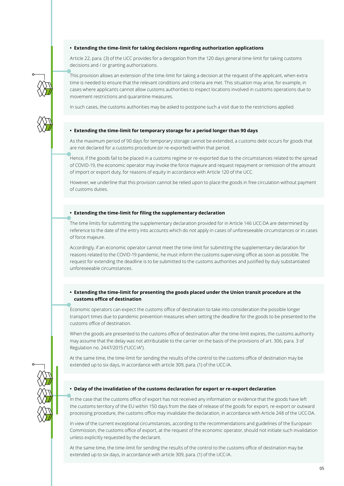#### **• Extending the time-limit for taking decisions regarding authorization applications**

Article 22, para. (3) of the UCC provides for a derogation from the 120 days general time-limit for taking customs decisions and / or granting authorizations.

This provision allows an extension of the time-limit for taking a decision at the request of the applicant, when extra time is needed to ensure that the relevant conditions and criteria are met. This situation may arise, for example, in cases where applicants cannot allow customs authorities to inspect locations involved in customs operations due to movement restrictions and quarantine measures.

In such cases, the customs authorities may be asked to postpone such a visit due to the restrictions applied.

#### **• Extending the time-limit for temporary storage for a period longer than 90 days**

As the maximum period of 90 days for temporary storage cannot be extended, a customs debt occurs for goods that are not declared for a customs procedure (or re-exported) within that period.

Hence, if the goods fail to be placed in a customs regime or re-exported due to the circumstances related to the spread of COVID-19, the economic operator may invoke the force majeure and request repayment or remission of the amount of import or export duty, for reasons of equity in accordance with Article 120 of the UCC.

However, we underline that this provision cannot be relied upon to place the goods in free circulation without payment of customs duties.

#### **• Extending the time-limit for filing the supplementary declaration**

The time limits for submitting the supplementary declaration provided for in Article 146 UCC-DA are determined by reference to the date of the entry into accounts which do not apply in cases of unforeseeable circumstances or in cases of force majeure.

Accordingly, if an economic operator cannot meet the time-limit for submitting the supplementary declaration for reasons related to the COVID-19 pandemic, he must inform the customs supervising office as soon as possible. The request for extending the deadline is to be submitted to the customs authorities and justified by duly substantiated unforeseeable circumstances.

#### **• Extending the time-limit for presenting the goods placed under the Union transit procedure at the customs office of destination**

Economic operators can expect the customs office of destination to take into consideration the possible longer transport times due to pandemic prevention measures when setting the deadline for the goods to be presented to the customs office of destination.

When the goods are presented to the customs office of destination after the time-limit expires, the customs authority may assume that the delay was not attributable to the carrier on the basis of the provisions of art. 306, para. 3 of Regulation no. 2447/2015 ("UCC-IA").

At the same time, the time-limit for sending the results of the control to the customs office of destination may be extended up to six days, in accordance with article 309, para. (1) of the UCC-IA.

### **• Delay of the invalidation of the customs declaration for export or re-export declaration**

In the case that the customs office of export has not received any information or evidence that the goods have left the customs territory of the EU within 150 days from the date of release of the goods for export, re-export or outward processing procedure, the customs office may invalidate the declaration, in accordance with Article 248 of the UCC-DA.

In view of the current exceptional circumstances, according to the recommendations and guidelines of the European Commission, the customs office of export, at the request of the economic operator, should not initiate such invalidation unless explicitly requested by the declarant.

At the same time, the time-limit for sending the results of the control to the customs office of destination may be extended up to six days, in accordance with article 309, para. (1) of the UCC-IA.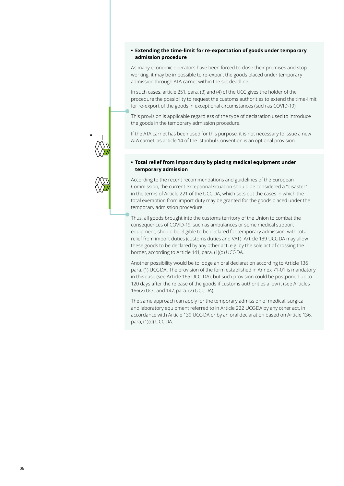#### **• Extending the time-limit for re-exportation of goods under temporary admission procedure**

As many economic operators have been forced to close their premises and stop working, it may be impossible to re-export the goods placed under temporary admission through ATA carnet within the set deadline.

In such cases, article 251, para. (3) and (4) of the UCC gives the holder of the procedure the possibility to request the customs authorities to extend the time-limit for re-export of the goods in exceptional circumstances (such as COVID-19).

This provision is applicable regardless of the type of declaration used to introduce the goods in the temporary admission procedure.

If the ATA carnet has been used for this purpose, it is not necessary to issue a new ATA carnet, as article 14 of the Istanbul Convention is an optional provision.

#### **• Total relief from import duty by placing medical equipment under temporary admission**

According to the recent recommendations and guidelines of the European Commission, the current exceptional situation should be considered a "disaster" in the terms of Article 221 of the UCC-DA, which sets out the cases in which the total exemption from import duty may be granted for the goods placed under the temporary admission procedure.

Thus, all goods brought into the customs territory of the Union to combat the consequences of COVID-19, such as ambulances or some medical support equipment, should be eligible to be declared for temporary admission, with total relief from import duties (customs duties and VAT). Article 139 UCC-DA may allow these goods to be declared by any other act, e.g. by the sole act of crossing the border, according to Article 141, para. (1)(d) UCC-DA.

Another possibility would be to lodge an oral declaration according to Article 136 para. (1) UCC-DA. The provision of the form established in Annex 71-01 is mandatory in this case (see Article 165 UCC- DA), but such provision could be postponed up to 120 days after the release of the goods if customs authorities allow it (see Articles 166(2) UCC and 147, para. (2) UCC-DA).

The same approach can apply for the temporary admission of medical, surgical and laboratory equipment referred to in Article 222 UCC-DA by any other act, in accordance with Article 139 UCC-DA or by an oral declaration based on Article 136, para, (1)(d) UCC-DA.

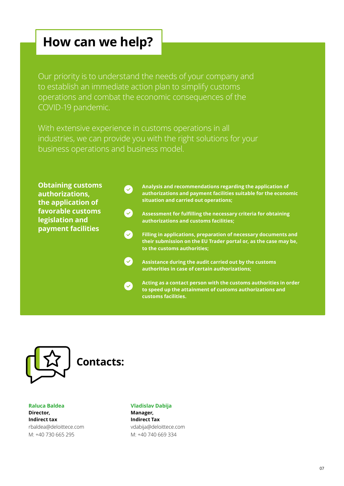### **How can we help?**

Our priority is to understand the needs of your company and to establish an immediate action plan to simplify customs operations and combat the economic consequences of the COVID-19 pandemic.

With extensive experience in customs operations in all industries, we can provide you with the right solutions for your business operations and business model.

 $\bullet$ 

 $\blacktriangledown$ 

**Obtaining customs authorizations, the application of favorable customs legislation and payment facilities**

**Analysis and recommendations regarding the application of**   $\left($ **authorizations and payment facilities suitable for the economic situation and carried out operations;**

**Assessment for fulfilling the necessary criteria for obtaining authorizations and customs facilities;**

 $\boldsymbol{\omega}$ **Filling in applications, preparation of necessary documents and their submission on the EU Trader portal or, as the case may be, to the customs authorities;**

**Assistance during the audit carried out by the customs authorities in case of certain authorizations;**

**Acting as a contact person with the customs authorities in order to speed up the attainment of customs authorizations and customs facilities.**



**Raluca Baldea Director, Indirect tax** rbaldea@deloittece.com M: +40 730 665 295

### **Contacts:**

**Vladislav Dabija Manager, Indirect Tax** vdabija@deloittece.com M: +40 740 669 334